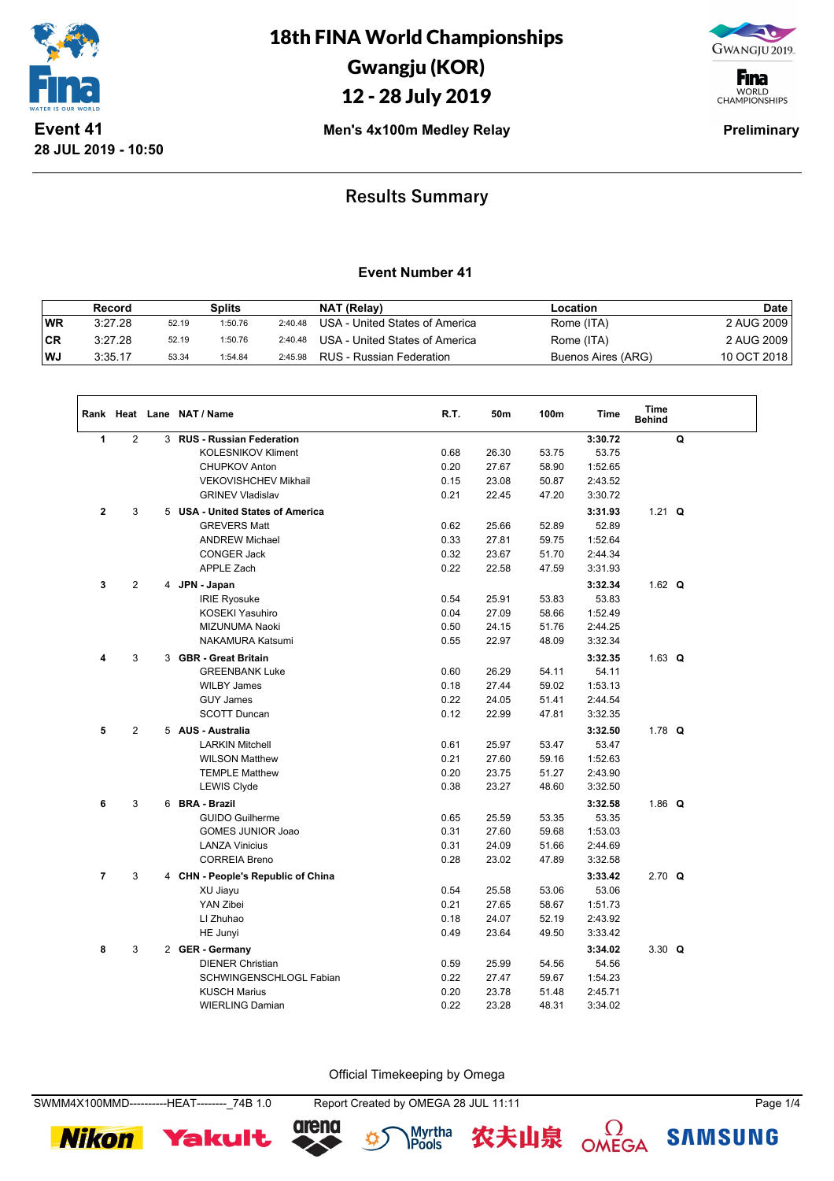



**F**ina WORLD<br>CHAMPIONSHIPS

**Men's 4x100m Medley Relay**  Preliminary

### **Results Summary**

### **Event Number 41**

|           | Record  |       | Splits  |         | NAT (Relay)                    | Location           | <b>Date</b> |
|-----------|---------|-------|---------|---------|--------------------------------|--------------------|-------------|
| <b>WR</b> | 3:27.28 | 52.19 | 1:50.76 | 2:40.48 | USA - United States of America | Rome (ITA)         | 2 AUG 2009  |
| CR        | 3:27.28 | 52.19 | 1:50.76 | 2:40.48 | USA - United States of America | Rome (ITA)         | 2 AUG 2009  |
| ∣WJ       | 3:35.17 | 53.34 | 1:54.84 | 2:45.98 | RUS - Russian Federation       | Buenos Aires (ARG) | 10 OCT 2018 |

|                |                |   | Rank Heat Lane NAT / Name          | R.T. | 50m   | 100m  | Time    | <b>Time</b><br><b>Behind</b> |   |  |
|----------------|----------------|---|------------------------------------|------|-------|-------|---------|------------------------------|---|--|
| 1              | 2              |   | 3 RUS - Russian Federation         |      |       |       | 3:30.72 |                              | Q |  |
|                |                |   | <b>KOLESNIKOV Kliment</b>          | 0.68 | 26.30 | 53.75 | 53.75   |                              |   |  |
|                |                |   | <b>CHUPKOV Anton</b>               | 0.20 | 27.67 | 58.90 | 1:52.65 |                              |   |  |
|                |                |   | VEKOVISHCHEV Mikhail               | 0.15 | 23.08 | 50.87 | 2:43.52 |                              |   |  |
|                |                |   | <b>GRINEV Vladislav</b>            | 0.21 | 22.45 | 47.20 | 3:30.72 |                              |   |  |
| $\mathbf{2}$   | 3              |   | 5 USA - United States of America   |      |       |       | 3:31.93 | 1.21 $Q$                     |   |  |
|                |                |   | <b>GREVERS Matt</b>                | 0.62 | 25.66 | 52.89 | 52.89   |                              |   |  |
|                |                |   | <b>ANDREW Michael</b>              | 0.33 | 27.81 | 59.75 | 1:52.64 |                              |   |  |
|                |                |   | <b>CONGER Jack</b>                 | 0.32 | 23.67 | 51.70 | 2:44.34 |                              |   |  |
|                |                |   | <b>APPLE Zach</b>                  | 0.22 | 22.58 | 47.59 | 3:31.93 |                              |   |  |
| 3              | $\overline{2}$ |   | 4 JPN - Japan                      |      |       |       | 3:32.34 | 1.62 $Q$                     |   |  |
|                |                |   | <b>IRIE Ryosuke</b>                | 0.54 | 25.91 | 53.83 | 53.83   |                              |   |  |
|                |                |   | KOSEKI Yasuhiro                    | 0.04 | 27.09 | 58.66 | 1:52.49 |                              |   |  |
|                |                |   | MIZUNUMA Naoki                     | 0.50 | 24.15 | 51.76 | 2:44.25 |                              |   |  |
|                |                |   | NAKAMURA Katsumi                   | 0.55 | 22.97 | 48.09 | 3:32.34 |                              |   |  |
| 4              | 3              | 3 | <b>GBR</b> - Great Britain         |      |       |       | 3:32.35 | 1.63 $Q$                     |   |  |
|                |                |   | <b>GREENBANK Luke</b>              | 0.60 | 26.29 | 54.11 | 54.11   |                              |   |  |
|                |                |   | <b>WILBY James</b>                 | 0.18 | 27.44 | 59.02 | 1:53.13 |                              |   |  |
|                |                |   | <b>GUY James</b>                   | 0.22 | 24.05 | 51.41 | 2:44.54 |                              |   |  |
|                |                |   | <b>SCOTT Duncan</b>                | 0.12 | 22.99 | 47.81 | 3:32.35 |                              |   |  |
| 5              | $\overline{2}$ |   | 5 AUS - Australia                  |      |       |       | 3:32.50 | 1.78 $Q$                     |   |  |
|                |                |   | <b>LARKIN Mitchell</b>             | 0.61 | 25.97 | 53.47 | 53.47   |                              |   |  |
|                |                |   | <b>WILSON Matthew</b>              | 0.21 | 27.60 | 59.16 | 1:52.63 |                              |   |  |
|                |                |   | <b>TEMPLE Matthew</b>              | 0.20 | 23.75 | 51.27 | 2:43.90 |                              |   |  |
|                |                |   | <b>LEWIS Clyde</b>                 | 0.38 | 23.27 | 48.60 | 3:32.50 |                              |   |  |
| 6              | 3              |   | 6 BRA - Brazil                     |      |       |       | 3:32.58 | 1.86 $Q$                     |   |  |
|                |                |   | <b>GUIDO Guilherme</b>             | 0.65 | 25.59 | 53.35 | 53.35   |                              |   |  |
|                |                |   | <b>GOMES JUNIOR Joao</b>           | 0.31 | 27.60 | 59.68 | 1:53.03 |                              |   |  |
|                |                |   | <b>LANZA Vinicius</b>              | 0.31 | 24.09 | 51.66 | 2:44.69 |                              |   |  |
|                |                |   | <b>CORREIA Breno</b>               | 0.28 | 23.02 | 47.89 | 3:32.58 |                              |   |  |
| $\overline{7}$ | 3              |   | 4 CHN - People's Republic of China |      |       |       | 3:33.42 | $2.70$ Q                     |   |  |
|                |                |   | XU Jiayu                           | 0.54 | 25.58 | 53.06 | 53.06   |                              |   |  |
|                |                |   | YAN Zibei                          | 0.21 | 27.65 | 58.67 | 1:51.73 |                              |   |  |
|                |                |   | LI Zhuhao                          | 0.18 | 24.07 | 52.19 | 2:43.92 |                              |   |  |
|                |                |   | HE Junyi                           | 0.49 | 23.64 | 49.50 | 3:33.42 |                              |   |  |
| 8              | 3              |   | 2 GER - Germany                    |      |       |       | 3:34.02 | 3.30 $Q$                     |   |  |
|                |                |   | <b>DIENER Christian</b>            | 0.59 | 25.99 | 54.56 | 54.56   |                              |   |  |
|                |                |   | SCHWINGENSCHLOGL Fabian            | 0.22 | 27.47 | 59.67 | 1:54.23 |                              |   |  |
|                |                |   | <b>KUSCH Marius</b>                | 0.20 | 23.78 | 51.48 | 2:45.71 |                              |   |  |
|                |                |   | <b>WIERLING Damian</b>             | 0.22 | 23.28 | 48.31 | 3:34.02 |                              |   |  |

Official Timekeeping by Omega

SWMM4X100MMD----------HEAT--------\_74B 1.0 Report Created by OMEGA 28 JUL 11:11 Page 1/4







Myrtha<br>**IPools** 农夫山泉

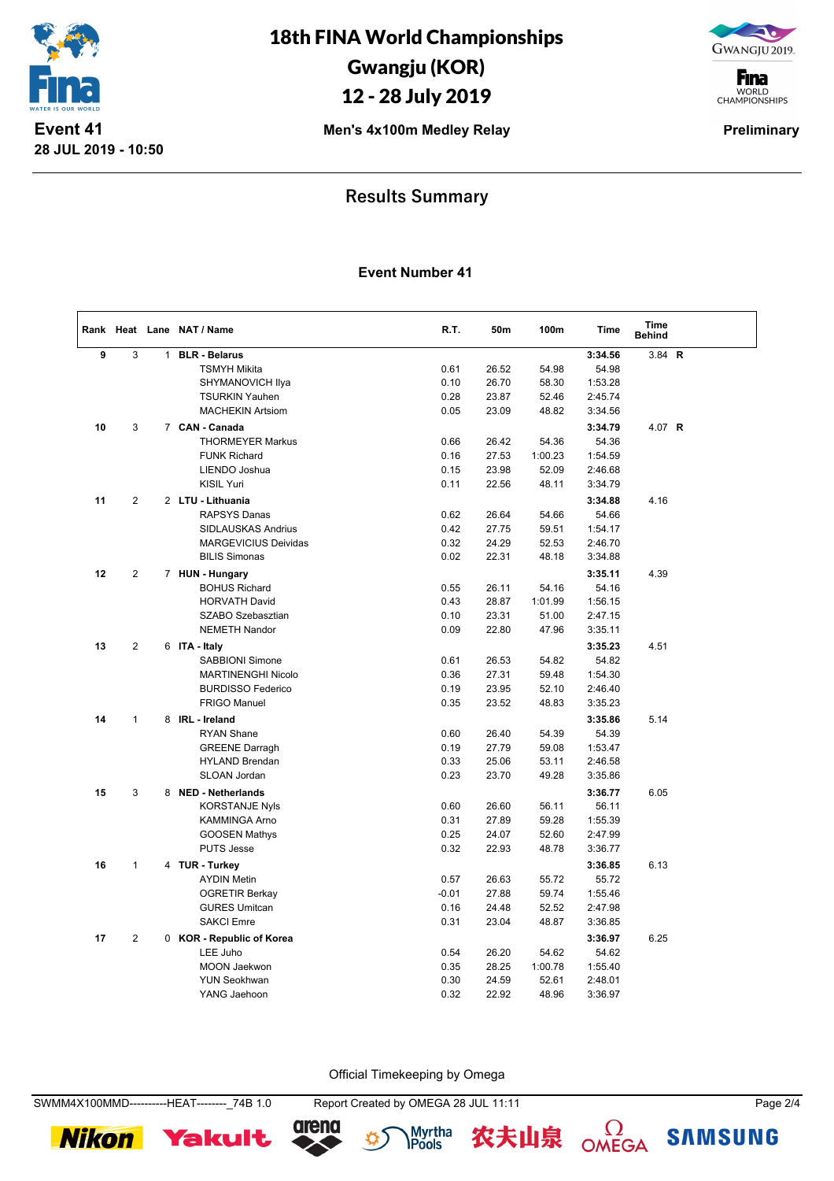

GWANGJU 2019.

**F**ina WORLD<br>CHAMPIONSHIPS

**Men's 4x100m Medley Relay**  Preliminary

## **Results Summary**

### **Event Number 41**

|    |              |              | Rank Heat Lane NAT / Name                     | R.T.         | 50m   | 100m    | Time               | Time<br><b>Behind</b> |  |
|----|--------------|--------------|-----------------------------------------------|--------------|-------|---------|--------------------|-----------------------|--|
| 9  | 3            | $\mathbf{1}$ | <b>BLR - Belarus</b>                          |              |       |         | 3:34.56            | 3.84 $R$              |  |
|    |              |              | <b>TSMYH Mikita</b>                           | 0.61         | 26.52 | 54.98   | 54.98              |                       |  |
|    |              |              | SHYMANOVICH Ilya                              | 0.10         | 26.70 | 58.30   | 1:53.28            |                       |  |
|    |              |              | <b>TSURKIN Yauhen</b>                         | 0.28         | 23.87 | 52.46   | 2:45.74            |                       |  |
|    |              |              | <b>MACHEKIN Artsiom</b>                       | 0.05         | 23.09 | 48.82   | 3:34.56            |                       |  |
| 10 | 3            |              | 7 CAN - Canada                                |              |       |         | 3:34.79            | 4.07 R                |  |
|    |              |              | <b>THORMEYER Markus</b>                       | 0.66         | 26.42 | 54.36   | 54.36              |                       |  |
|    |              |              | <b>FUNK Richard</b>                           | 0.16         | 27.53 | 1:00.23 | 1:54.59            |                       |  |
|    |              |              | LIENDO Joshua                                 | 0.15         | 23.98 | 52.09   | 2:46.68            |                       |  |
|    |              |              | <b>KISIL Yuri</b>                             | 0.11         | 22.56 | 48.11   | 3:34.79            |                       |  |
| 11 | 2            |              | 2 LTU - Lithuania                             |              |       |         | 3:34.88            | 4.16                  |  |
|    |              |              | <b>RAPSYS Danas</b>                           | 0.62         | 26.64 | 54.66   | 54.66              |                       |  |
|    |              |              | SIDLAUSKAS Andrius                            | 0.42         | 27.75 | 59.51   | 1:54.17            |                       |  |
|    |              |              | <b>MARGEVICIUS Deividas</b>                   | 0.32         | 24.29 | 52.53   | 2:46.70            |                       |  |
|    |              |              | <b>BILIS Simonas</b>                          | 0.02         | 22.31 | 48.18   | 3:34.88            |                       |  |
| 12 | 2            |              | 7 HUN - Hungary                               |              |       |         | 3:35.11            | 4.39                  |  |
|    |              |              | <b>BOHUS Richard</b>                          | 0.55         | 26.11 | 54.16   | 54.16              |                       |  |
|    |              |              | <b>HORVATH David</b>                          | 0.43         | 28.87 | 1:01.99 | 1:56.15            |                       |  |
|    |              |              | SZABO Szebasztian                             | 0.10         | 23.31 | 51.00   | 2:47.15            |                       |  |
|    |              |              | <b>NEMETH Nandor</b>                          | 0.09         | 22.80 | 47.96   | 3:35.11            |                       |  |
| 13 | $\mathbf{2}$ |              | 6 ITA - Italy                                 |              |       |         | 3:35.23            | 4.51                  |  |
|    |              |              | <b>SABBIONI Simone</b>                        | 0.61         | 26.53 | 54.82   | 54.82              |                       |  |
|    |              |              | <b>MARTINENGHI Nicolo</b>                     | 0.36         | 27.31 | 59.48   | 1:54.30            |                       |  |
|    |              |              | <b>BURDISSO Federico</b>                      | 0.19         | 23.95 | 52.10   | 2:46.40            |                       |  |
|    |              |              | <b>FRIGO Manuel</b>                           | 0.35         | 23.52 | 48.83   | 3:35.23            |                       |  |
| 14 | $\mathbf{1}$ |              | 8 IRL - Ireland                               |              |       |         | 3:35.86            | 5.14                  |  |
|    |              |              | <b>RYAN Shane</b>                             | 0.60         | 26.40 | 54.39   | 54.39              |                       |  |
|    |              |              | <b>GREENE Darragh</b>                         | 0.19         | 27.79 | 59.08   | 1:53.47            |                       |  |
|    |              |              | <b>HYLAND Brendan</b>                         | 0.33         | 25.06 | 53.11   | 2:46.58            |                       |  |
|    |              |              | <b>SLOAN Jordan</b>                           | 0.23         | 23.70 | 49.28   | 3:35.86            |                       |  |
| 15 | 3            |              | 8 NED - Netherlands                           |              |       |         | 3:36.77            | 6.05                  |  |
|    |              |              | <b>KORSTANJE Nyls</b>                         | 0.60         | 26.60 | 56.11   | 56.11              |                       |  |
|    |              |              | KAMMINGA Arno                                 | 0.31         | 27.89 | 59.28   | 1:55.39            |                       |  |
|    |              |              | <b>GOOSEN Mathys</b>                          | 0.25         | 24.07 | 52.60   | 2:47.99            |                       |  |
|    |              |              | <b>PUTS Jesse</b>                             | 0.32         | 22.93 | 48.78   | 3:36.77            |                       |  |
|    | $\mathbf{1}$ |              |                                               |              |       |         |                    |                       |  |
| 16 |              |              | 4 TUR - Turkey<br><b>AYDIN Metin</b>          | 0.57         | 26.63 | 55.72   | 3:36.85<br>55.72   | 6.13                  |  |
|    |              |              |                                               | $-0.01$      | 27.88 | 59.74   |                    |                       |  |
|    |              |              | <b>OGRETIR Berkay</b><br><b>GURES Umitcan</b> |              | 24.48 | 52.52   | 1:55.46<br>2:47.98 |                       |  |
|    |              |              | <b>SAKCI Emre</b>                             | 0.16<br>0.31 | 23.04 | 48.87   | 3:36.85            |                       |  |
|    |              |              |                                               |              |       |         |                    |                       |  |
| 17 | 2            |              | 0 KOR - Republic of Korea                     |              |       |         | 3:36.97            | 6.25                  |  |
|    |              |              | LEE Juho                                      | 0.54         | 26.20 | 54.62   | 54.62              |                       |  |
|    |              |              | <b>MOON Jaekwon</b>                           | 0.35         | 28.25 | 1:00.78 | 1:55.40            |                       |  |
|    |              |              | <b>YUN Seokhwan</b>                           | 0.30         | 24.59 | 52.61   | 2:48.01            |                       |  |
|    |              |              | YANG Jaehoon                                  | 0.32         | 22.92 | 48.96   | 3:36.97            |                       |  |

Official Timekeeping by Omega









 $\Omega$ OMEGA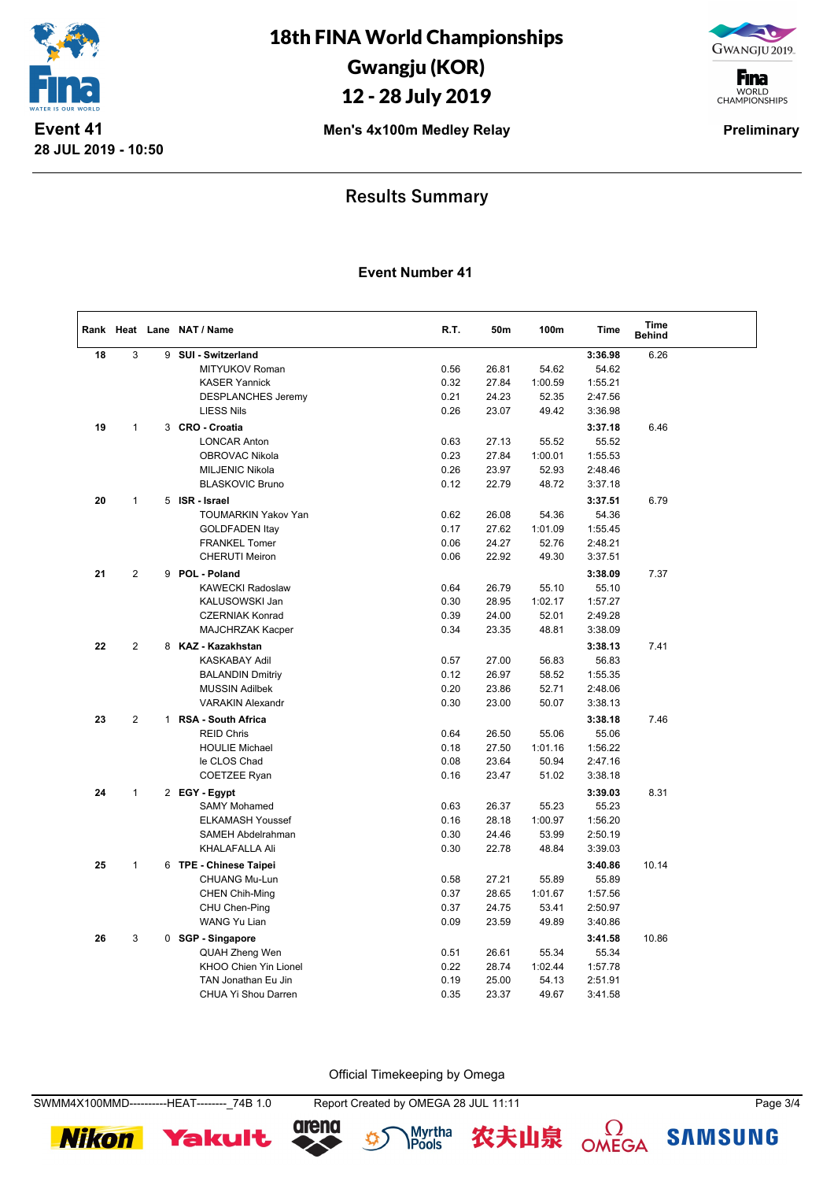

GWANGJU 2019.

**F**ina WORLD<br>CHAMPIONSHIPS

**Men's 4x100m Medley Relay**  Preliminary

## **Results Summary**

#### **Event Number 41**

|    |                |              | Rank Heat Lane NAT / Name     | R.T. | 50m   | 100m           | Time               | Time<br><b>Behind</b> |  |
|----|----------------|--------------|-------------------------------|------|-------|----------------|--------------------|-----------------------|--|
| 18 | 3              | 9            | SUI - Switzerland             |      |       |                | 3:36.98            | 6.26                  |  |
|    |                |              | MITYUKOV Roman                | 0.56 | 26.81 | 54.62          | 54.62              |                       |  |
|    |                |              | <b>KASER Yannick</b>          | 0.32 | 27.84 | 1:00.59        | 1:55.21            |                       |  |
|    |                |              | <b>DESPLANCHES Jeremy</b>     | 0.21 | 24.23 | 52.35          | 2:47.56            |                       |  |
|    |                |              | <b>LIESS Nils</b>             | 0.26 | 23.07 | 49.42          | 3:36.98            |                       |  |
| 19 | $\mathbf{1}$   | 3            | <b>CRO - Croatia</b>          |      |       |                | 3:37.18            | 6.46                  |  |
|    |                |              | <b>LONCAR Anton</b>           | 0.63 | 27.13 | 55.52          | 55.52              |                       |  |
|    |                |              | OBROVAC Nikola                | 0.23 | 27.84 | 1:00.01        | 1:55.53            |                       |  |
|    |                |              | <b>MILJENIC Nikola</b>        | 0.26 | 23.97 | 52.93          | 2:48.46            |                       |  |
|    |                |              | <b>BLASKOVIC Bruno</b>        | 0.12 | 22.79 | 48.72          | 3:37.18            |                       |  |
| 20 | $\mathbf{1}$   | 5            | ISR - Israel                  |      |       |                | 3:37.51            | 6.79                  |  |
|    |                |              | <b>TOUMARKIN Yakov Yan</b>    | 0.62 | 26.08 | 54.36          | 54.36              |                       |  |
|    |                |              | <b>GOLDFADEN Itay</b>         | 0.17 | 27.62 | 1:01.09        | 1:55.45            |                       |  |
|    |                |              | <b>FRANKEL Tomer</b>          | 0.06 | 24.27 | 52.76          | 2:48.21            |                       |  |
|    |                |              | <b>CHERUTI Meiron</b>         | 0.06 | 22.92 | 49.30          | 3:37.51            |                       |  |
| 21 | $\overline{2}$ | 9            | <b>POL - Poland</b>           |      |       |                | 3:38.09            | 7.37                  |  |
|    |                |              | <b>KAWECKI Radoslaw</b>       | 0.64 | 26.79 | 55.10          | 55.10              |                       |  |
|    |                |              | KALUSOWSKI Jan                | 0.30 | 28.95 | 1:02.17        | 1:57.27            |                       |  |
|    |                |              | <b>CZERNIAK Konrad</b>        | 0.39 | 24.00 | 52.01          | 2:49.28            |                       |  |
|    |                |              | MAJCHRZAK Kacper              | 0.34 | 23.35 | 48.81          | 3:38.09            |                       |  |
| 22 | $\overline{2}$ |              | 8 KAZ - Kazakhstan            |      |       |                | 3:38.13            | 7.41                  |  |
|    |                |              | <b>KASKABAY Adil</b>          | 0.57 | 27.00 | 56.83          | 56.83              |                       |  |
|    |                |              | <b>BALANDIN Dmitriy</b>       | 0.12 | 26.97 | 58.52          | 1:55.35            |                       |  |
|    |                |              | <b>MUSSIN Adilbek</b>         | 0.20 | 23.86 | 52.71          | 2:48.06            |                       |  |
|    |                |              | <b>VARAKIN Alexandr</b>       | 0.30 | 23.00 | 50.07          | 3:38.13            |                       |  |
| 23 | 2              | $\mathbf{1}$ | <b>RSA - South Africa</b>     |      |       |                | 3:38.18            | 7.46                  |  |
|    |                |              | <b>REID Chris</b>             | 0.64 | 26.50 | 55.06          | 55.06              |                       |  |
|    |                |              | <b>HOULIE Michael</b>         | 0.18 | 27.50 | 1:01.16        | 1:56.22            |                       |  |
|    |                |              | le CLOS Chad                  | 0.08 | 23.64 | 50.94          | 2:47.16            |                       |  |
|    |                |              | COETZEE Ryan                  | 0.16 | 23.47 | 51.02          | 3:38.18            |                       |  |
| 24 | $\mathbf{1}$   |              | 2 EGY - Egypt                 |      |       |                | 3:39.03            | 8.31                  |  |
|    |                |              | <b>SAMY Mohamed</b>           | 0.63 | 26.37 | 55.23          | 55.23              |                       |  |
|    |                |              | <b>ELKAMASH Youssef</b>       | 0.16 | 28.18 | 1:00.97        | 1:56.20            |                       |  |
|    |                |              | <b>SAMEH Abdelrahman</b>      | 0.30 | 24.46 | 53.99          | 2:50.19            |                       |  |
|    |                |              | <b>KHALAFALLA Ali</b>         | 0.30 | 22.78 | 48.84          | 3:39.03            |                       |  |
|    | $\mathbf{1}$   |              |                               |      |       |                |                    |                       |  |
| 25 |                |              | 6 TPE - Chinese Taipei        | 0.58 | 27.21 | 55.89          | 3:40.86<br>55.89   | 10.14                 |  |
|    |                |              | CHUANG Mu-Lun                 | 0.37 | 28.65 |                |                    |                       |  |
|    |                |              | <b>CHEN Chih-Ming</b>         | 0.37 | 24.75 | 1:01.67        | 1:57.56            |                       |  |
|    |                |              | CHU Chen-Ping<br>WANG Yu Lian | 0.09 | 23.59 | 53.41<br>49.89 | 2:50.97<br>3:40.86 |                       |  |
|    |                |              |                               |      |       |                |                    |                       |  |
| 26 | 3              |              | 0 SGP - Singapore             |      |       |                | 3:41.58            | 10.86                 |  |
|    |                |              | QUAH Zheng Wen                | 0.51 | 26.61 | 55.34          | 55.34              |                       |  |
|    |                |              | KHOO Chien Yin Lionel         | 0.22 | 28.74 | 1:02.44        | 1:57.78            |                       |  |
|    |                |              | TAN Jonathan Eu Jin           | 0.19 | 25.00 | 54.13          | 2:51.91            |                       |  |
|    |                |              | <b>CHUA Yi Shou Darren</b>    | 0.35 | 23.37 | 49.67          | 3:41.58            |                       |  |

Official Timekeeping by Omega

**Nikon**